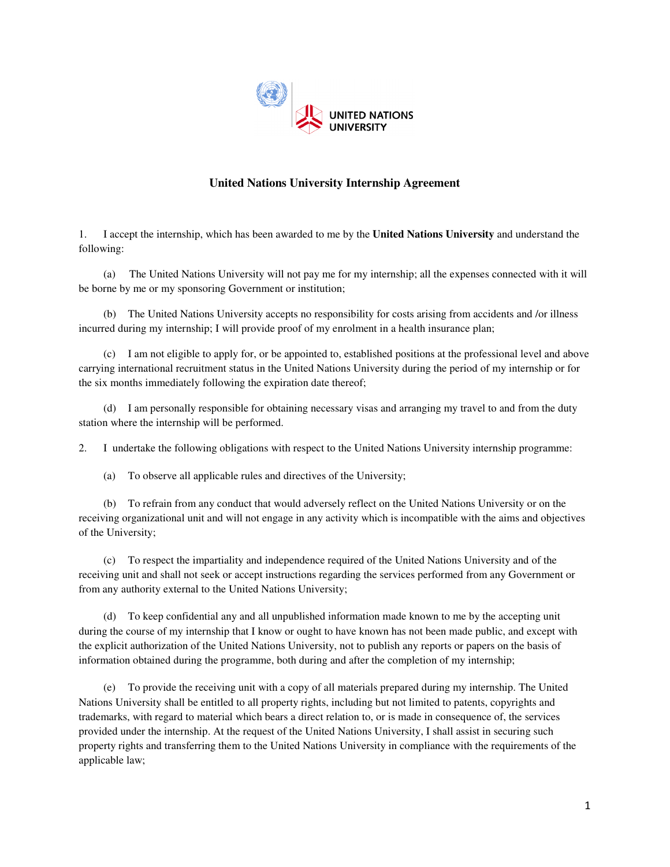

## **United Nations University Internship Agreement**

1. I accept the internship, which has been awarded to me by the **United Nations University** and understand the following:

 (a) The United Nations University will not pay me for my internship; all the expenses connected with it will be borne by me or my sponsoring Government or institution;

 (b) The United Nations University accepts no responsibility for costs arising from accidents and /or illness incurred during my internship; I will provide proof of my enrolment in a health insurance plan;

 (c) I am not eligible to apply for, or be appointed to, established positions at the professional level and above carrying international recruitment status in the United Nations University during the period of my internship or for the six months immediately following the expiration date thereof;

 (d) I am personally responsible for obtaining necessary visas and arranging my travel to and from the duty station where the internship will be performed.

2. I undertake the following obligations with respect to the United Nations University internship programme:

(a) To observe all applicable rules and directives of the University;

 (b) To refrain from any conduct that would adversely reflect on the United Nations University or on the receiving organizational unit and will not engage in any activity which is incompatible with the aims and objectives of the University;

 (c) To respect the impartiality and independence required of the United Nations University and of the receiving unit and shall not seek or accept instructions regarding the services performed from any Government or from any authority external to the United Nations University;

 (d) To keep confidential any and all unpublished information made known to me by the accepting unit during the course of my internship that I know or ought to have known has not been made public, and except with the explicit authorization of the United Nations University, not to publish any reports or papers on the basis of information obtained during the programme, both during and after the completion of my internship;

 (e) To provide the receiving unit with a copy of all materials prepared during my internship. The United Nations University shall be entitled to all property rights, including but not limited to patents, copyrights and trademarks, with regard to material which bears a direct relation to, or is made in consequence of, the services provided under the internship. At the request of the United Nations University, I shall assist in securing such property rights and transferring them to the United Nations University in compliance with the requirements of the applicable law;